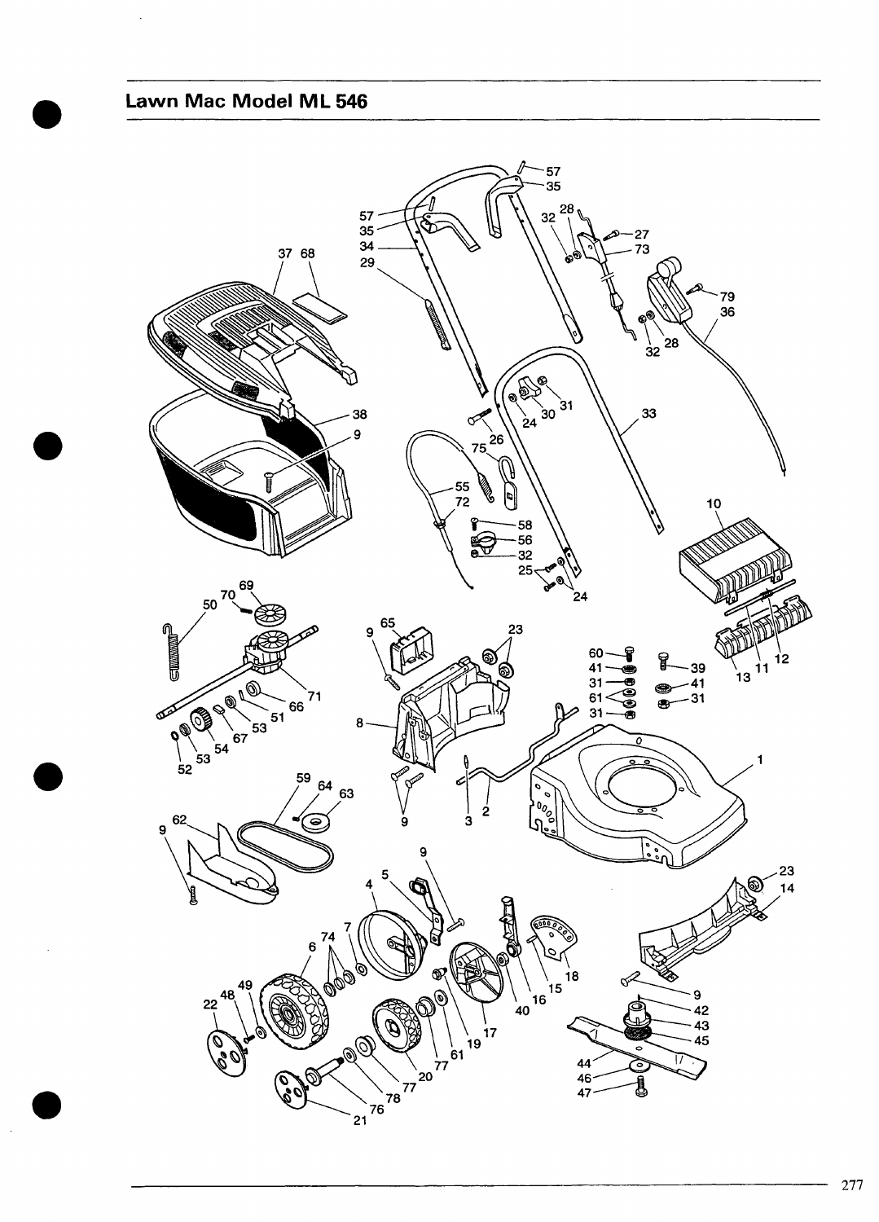## <span id="page-0-0"></span>Lawn Mac Model ML 546